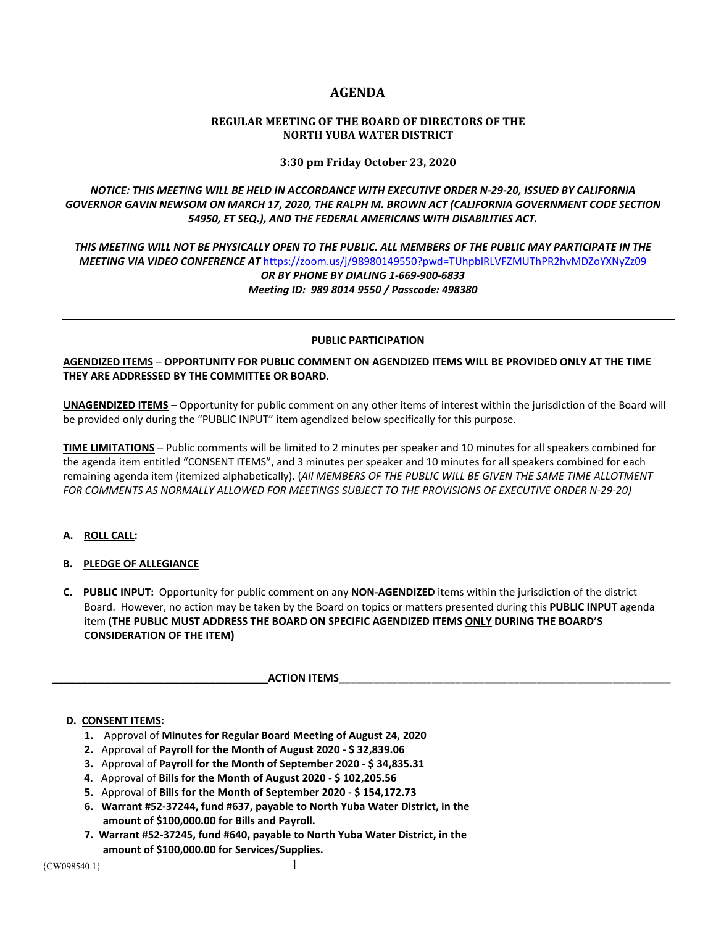# **AGENDA**

# **REGULAR MEETING OF THE BOARD OF DIRECTORS OF THE NORTH YUBA WATER DISTRICT**

### **3:30 pm Friday October 23, 2020**

*NOTICE: THIS MEETING WILL BE HELD IN ACCORDANCE WITH EXECUTIVE ORDER N-29-20, ISSUED BY CALIFORNIA GOVERNOR GAVIN NEWSOM ON MARCH 17, 2020, THE RALPH M. BROWN ACT (CALIFORNIA GOVERNMENT CODE SECTION 54950, ET SEQ.), AND THE FEDERAL AMERICANS WITH DISABILITIES ACT.* 

*THIS MEETING WILL NOT BE PHYSICALLY OPEN TO THE PUBLIC. ALL MEMBERS OF THE PUBLIC MAY PARTICIPATE IN THE MEETING VIA VIDEO CONFERENCE AT* <https://zoom.us/j/98980149550?pwd=TUhpblRLVFZMUThPR2hvMDZoYXNyZz09> *OR BY PHONE BY DIALING 1-669-900-6833 Meeting ID: 989 8014 9550 / Passcode: 498380*

### **PUBLIC PARTICIPATION**

**AGENDIZED ITEMS** – **OPPORTUNITY FOR PUBLIC COMMENT ON AGENDIZED ITEMS WILL BE PROVIDED ONLY AT THE TIME THEY ARE ADDRESSED BY THE COMMITTEE OR BOARD**.

**UNAGENDIZED ITEMS** – Opportunity for public comment on any other items of interest within the jurisdiction of the Board will be provided only during the "PUBLIC INPUT" item agendized below specifically for this purpose.

**TIME LIMITATIONS** – Public comments will be limited to 2 minutes per speaker and 10 minutes for all speakers combined for the agenda item entitled "CONSENT ITEMS", and 3 minutes per speaker and 10 minutes for all speakers combined for each remaining agenda item (itemized alphabetically). (*All MEMBERS OF THE PUBLIC WILL BE GIVEN THE SAME TIME ALLOTMENT FOR COMMENTS AS NORMALLY ALLOWED FOR MEETINGS SUBJECT TO THE PROVISIONS OF EXECUTIVE ORDER N-29-20)*

# **A. ROLL CALL:**

- **B. PLEDGE OF ALLEGIANCE**
- **C. PUBLIC INPUT:** Opportunity for public comment on any **NON-AGENDIZED** items within the jurisdiction of the district Board. However, no action may be taken by the Board on topics or matters presented during this **PUBLIC INPUT** agenda item **(THE PUBLIC MUST ADDRESS THE BOARD ON SPECIFIC AGENDIZED ITEMS ONLY DURING THE BOARD'S CONSIDERATION OF THE ITEM)**

 **\_\_\_\_\_\_\_\_\_\_\_\_\_\_\_\_\_\_\_\_\_\_\_\_\_\_\_\_\_\_\_\_\_\_\_\_\_ACTION ITEMS\_\_\_\_\_\_\_\_\_\_\_\_\_\_\_\_\_\_\_\_\_\_\_\_\_\_\_\_\_\_\_\_\_\_\_\_\_\_\_\_\_\_\_\_\_\_\_\_\_\_\_\_\_\_\_\_\_** 

#### **D. CONSENT ITEMS:**

- **1.** Approval of **Minutes for Regular Board Meeting of August 24, 2020**
- **2.** Approval of **Payroll for the Month of August 2020 - \$ 32,839.06**
- **3.** Approval of **Payroll for the Month of September 2020 - \$ 34,835.31**
- **4.** Approval of **Bills for the Month of August 2020 - \$ 102,205.56**
- **5.** Approval of **Bills for the Month of September 2020 - \$ 154,172.73**
- **6. Warrant #52-37244, fund #637, payable to North Yuba Water District, in the amount of \$100,000.00 for Bills and Payroll.**
- **7. Warrant #52-37245, fund #640, payable to North Yuba Water District, in the amount of \$100,000.00 for Services/Supplies.**